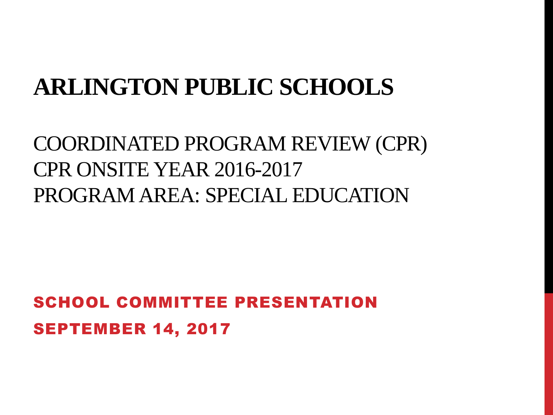### **ARLINGTON PUBLIC SCHOOLS**

### COORDINATED PROGRAM REVIEW (CPR) CPR ONSITE YEAR 2016-2017 PROGRAM AREA: SPECIAL EDUCATION

SCHOOL COMMITTEE PRESENTATION SEPTEMBER 14, 2017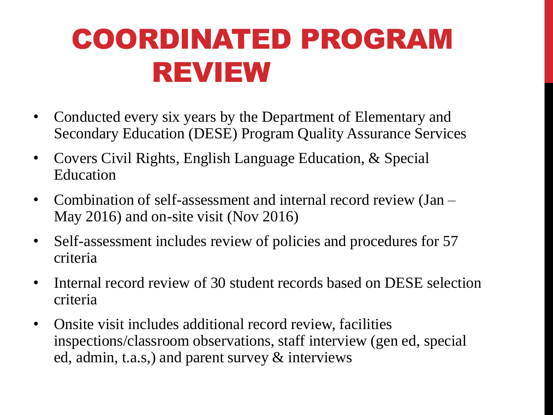# COORDINATED PROGRAM REVIEW

- Conducted every six years by the Department of Elementary and Secondary Education (DESE) Program Quality Assurance Services
- Covers Civil Rights, English Language Education, & Special Education
- Combination of self-assessment and internal record review (Jan May 2016) and on-site visit (Nov 2016)
- Self-assessment includes review of policies and procedures for 57 criteria
- Internal record review of 30 student records based on DESE selection criteria
- Onsite visit includes additional record review, facilities inspections/classroom observations, staff interview (gen ed, special ed, admin, t.a.s,) and parent survey & interviews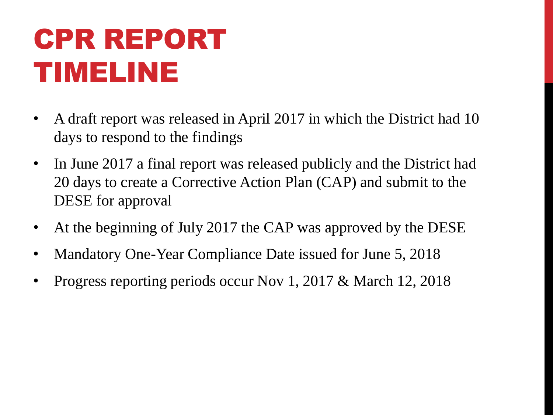# CPR REPORT TIMELINE

- A draft report was released in April 2017 in which the District had 10 days to respond to the findings
- In June 2017 a final report was released publicly and the District had 20 days to create a Corrective Action Plan (CAP) and submit to the DESE for approval
- At the beginning of July 2017 the CAP was approved by the DESE
- Mandatory One-Year Compliance Date issued for June 5, 2018
- Progress reporting periods occur Nov 1, 2017 & March 12, 2018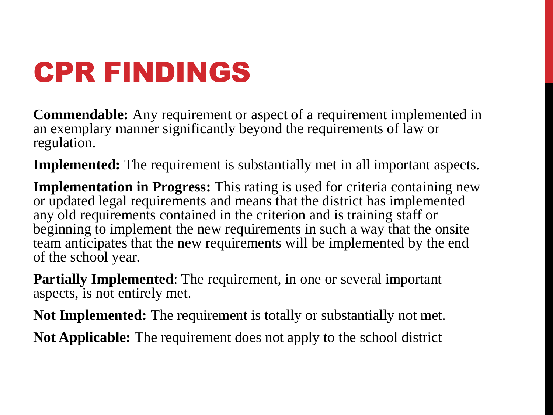# CPR FINDINGS

**Commendable:** Any requirement or aspect of a requirement implemented in an exemplary manner significantly beyond the requirements of law or regulation.

**Implemented:** The requirement is substantially met in all important aspects.

**Implementation in Progress:** This rating is used for criteria containing new or updated legal requirements and means that the district has implemented any old requirements contained in the criterion and is training staff or beginning to implement the new requirements in such a way that the onsite team anticipates that the new requirements will be implemented by the end of the school year.

**Partially Implemented**: The requirement, in one or several important aspects, is not entirely met.

**Not Implemented:** The requirement is totally or substantially not met.

**Not Applicable:** The requirement does not apply to the school district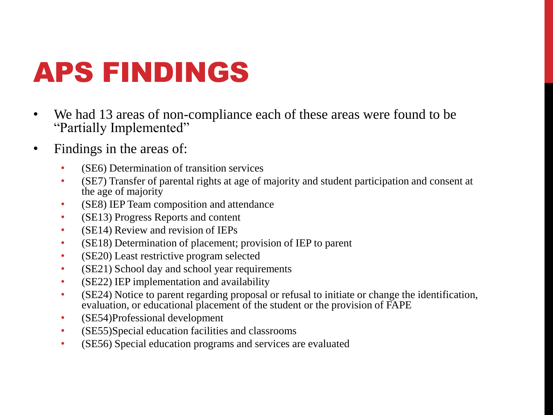# APS FINDINGS

- We had 13 areas of non-compliance each of these areas were found to be "Partially Implemented"
- Findings in the areas of:
	- (SE6) Determination of transition services
	- (SE7) Transfer of parental rights at age of majority and student participation and consent at the age of majority
	- (SE8) IEP Team composition and attendance
	- (SE13) Progress Reports and content
	- (SE14) Review and revision of IEPs
	- (SE18) Determination of placement; provision of IEP to parent
	- (SE20) Least restrictive program selected
	- (SE21) School day and school year requirements
	- (SE22) IEP implementation and availability
	- (SE24) Notice to parent regarding proposal or refusal to initiate or change the identification, evaluation, or educational placement of the student or the provision of FAPE
	- (SE54)Professional development
	- (SE55)Special education facilities and classrooms
	- (SE56) Special education programs and services are evaluated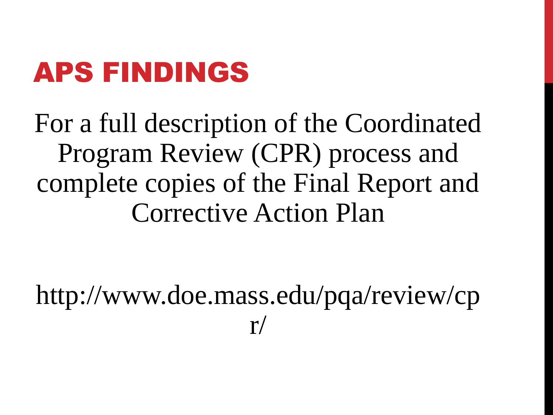# APS FINDINGS

For a full description of the Coordinated Program Review (CPR) process and complete copies of the Final Report and Corrective Action Plan

http://www.doe.mass.edu/pqa/review/cp  $r/$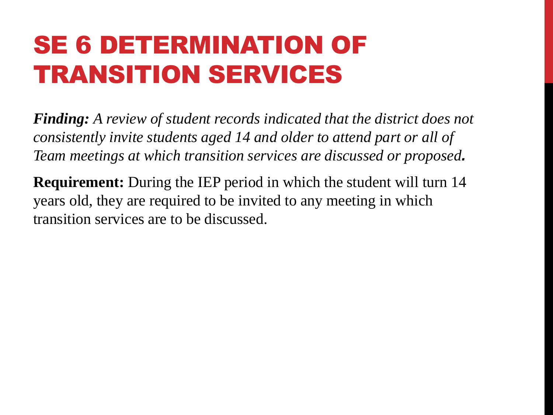### SE 6 DETERMINATION OF TRANSITION SERVICES

*Finding: A review of student records indicated that the district does not consistently invite students aged 14 and older to attend part or all of Team meetings at which transition services are discussed or proposed.*

**Requirement:** During the IEP period in which the student will turn 14 years old, they are required to be invited to any meeting in which transition services are to be discussed.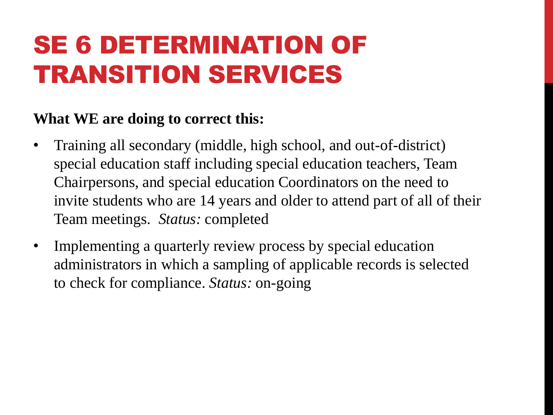### SE 6 DETERMINATION OF TRANSITION SERVICES

- Training all secondary (middle, high school, and out-of-district) special education staff including special education teachers, Team Chairpersons, and special education Coordinators on the need to invite students who are 14 years and older to attend part of all of their Team meetings. *Status:* completed
- Implementing a quarterly review process by special education administrators in which a sampling of applicable records is selected to check for compliance. *Status:* on-going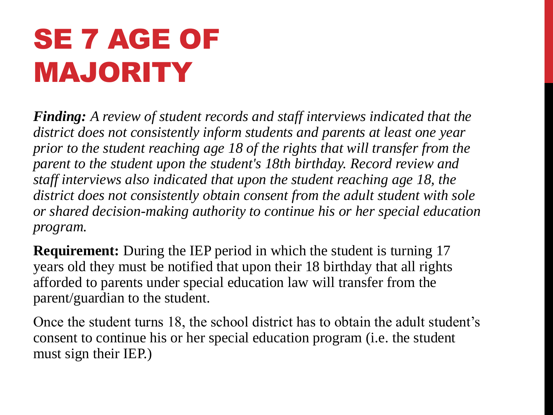# SE 7 AGE OF MAJORITY

*Finding: A review of student records and staff interviews indicated that the district does not consistently inform students and parents at least one year prior to the student reaching age 18 of the rights that will transfer from the parent to the student upon the student's 18th birthday. Record review and staff interviews also indicated that upon the student reaching age 18, the district does not consistently obtain consent from the adult student with sole or shared decision-making authority to continue his or her special education program.*

**Requirement:** During the IEP period in which the student is turning 17 years old they must be notified that upon their 18 birthday that all rights afforded to parents under special education law will transfer from the parent/guardian to the student.

Once the student turns 18, the school district has to obtain the adult student's consent to continue his or her special education program (i.e. the student must sign their IEP.)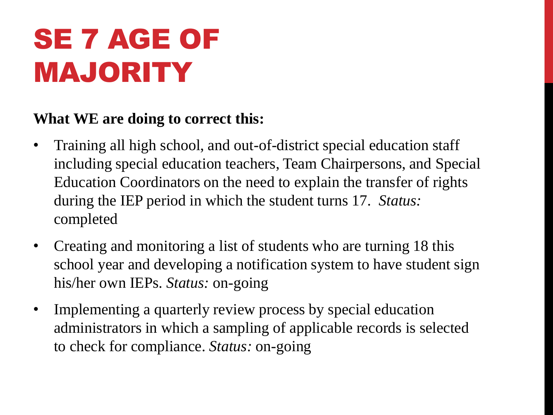# SE 7 AGE OF MAJORITY

- Training all high school, and out-of-district special education staff including special education teachers, Team Chairpersons, and Special Education Coordinators on the need to explain the transfer of rights during the IEP period in which the student turns 17. *Status:*  completed
- Creating and monitoring a list of students who are turning 18 this school year and developing a notification system to have student sign his/her own IEPs. *Status:* on-going
- Implementing a quarterly review process by special education administrators in which a sampling of applicable records is selected to check for compliance. *Status:* on-going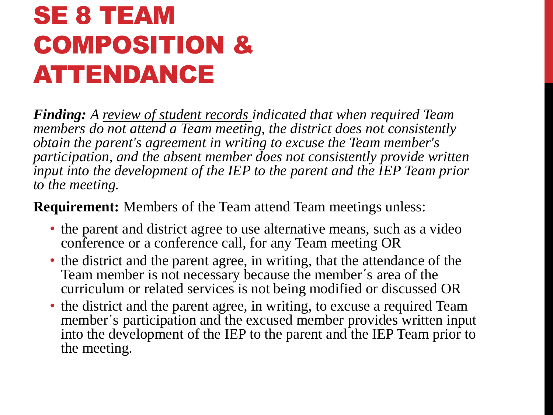### SE 8 TEAM COMPOSITION & ATTENDANCE

*Finding: A review of student records indicated that when required Team members do not attend a Team meeting, the district does not consistently obtain the parent's agreement in writing to excuse the Team member's participation, and the absent member does not consistently provide written input into the development of the IEP to the parent and the IEP Team prior to the meeting.*

**Requirement:** Members of the Team attend Team meetings unless:

- the parent and district agree to use alternative means, such as a video conference or a conference call, for any Team meeting OR
- the district and the parent agree, in writing, that the attendance of the Team member is not necessary because the member´s area of the curriculum or related services is not being modified or discussed OR
- the district and the parent agree, in writing, to excuse a required Team member´s participation and the excused member provides written input into the development of the IEP to the parent and the IEP Team prior to the meeting.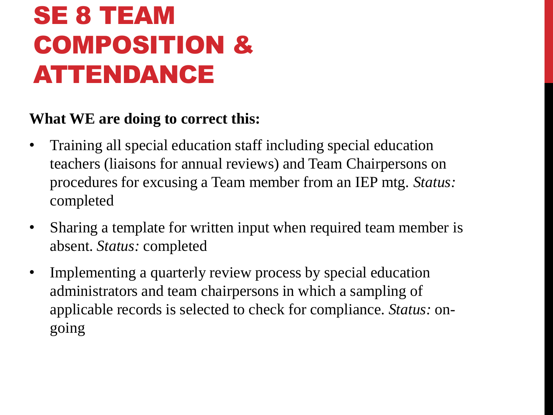### SE 8 TEAM COMPOSITION & ATTENDANCE

- Training all special education staff including special education teachers (liaisons for annual reviews) and Team Chairpersons on procedures for excusing a Team member from an IEP mtg. *Status:*  completed
- Sharing a template for written input when required team member is absent. *Status:* completed
- Implementing a quarterly review process by special education administrators and team chairpersons in which a sampling of applicable records is selected to check for compliance. *Status:* ongoing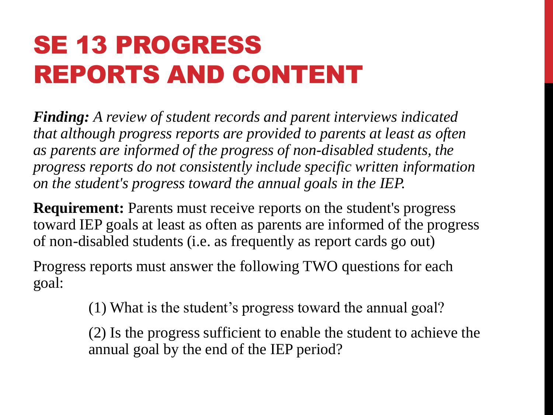## SE 13 PROGRESS REPORTS AND CONTENT

*Finding: A review of student records and parent interviews indicated that although progress reports are provided to parents at least as often as parents are informed of the progress of non-disabled students, the progress reports do not consistently include specific written information on the student's progress toward the annual goals in the IEP.*

**Requirement:** Parents must receive reports on the student's progress toward IEP goals at least as often as parents are informed of the progress of non-disabled students (i.e. as frequently as report cards go out)

Progress reports must answer the following TWO questions for each goal:

(1) What is the student's progress toward the annual goal?

(2) Is the progress sufficient to enable the student to achieve the annual goal by the end of the IEP period?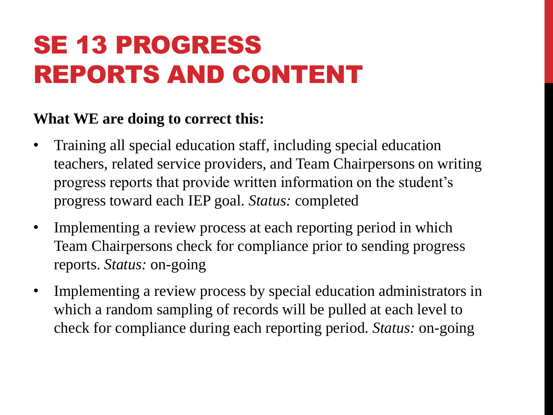## SE 13 PROGRESS REPORTS AND CONTENT

- Training all special education staff, including special education teachers, related service providers, and Team Chairpersons on writing progress reports that provide written information on the student's progress toward each IEP goal. *Status:* completed
- Implementing a review process at each reporting period in which Team Chairpersons check for compliance prior to sending progress reports. *Status:* on-going
- Implementing a review process by special education administrators in which a random sampling of records will be pulled at each level to check for compliance during each reporting period. *Status:* on-going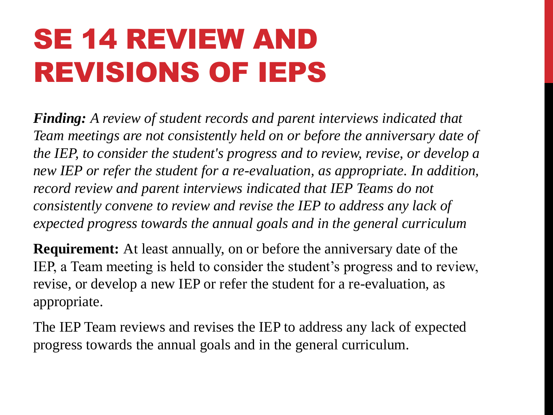# SE 14 REVIEW AND REVISIONS OF IEPS

*Finding: A review of student records and parent interviews indicated that Team meetings are not consistently held on or before the anniversary date of the IEP, to consider the student's progress and to review, revise, or develop a new IEP or refer the student for a re-evaluation, as appropriate. In addition, record review and parent interviews indicated that IEP Teams do not consistently convene to review and revise the IEP to address any lack of expected progress towards the annual goals and in the general curriculum*

**Requirement:** At least annually, on or before the anniversary date of the IEP, a Team meeting is held to consider the student's progress and to review, revise, or develop a new IEP or refer the student for a re-evaluation, as appropriate.

The IEP Team reviews and revises the IEP to address any lack of expected progress towards the annual goals and in the general curriculum.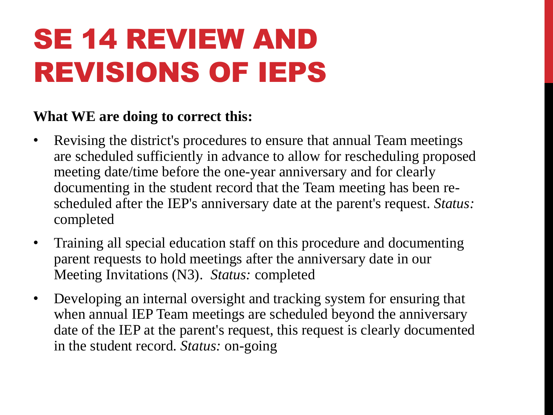# SE 14 REVIEW AND REVISIONS OF IEPS

- Revising the district's procedures to ensure that annual Team meetings are scheduled sufficiently in advance to allow for rescheduling proposed meeting date/time before the one-year anniversary and for clearly documenting in the student record that the Team meeting has been rescheduled after the IEP's anniversary date at the parent's request. *Status:*  completed
- Training all special education staff on this procedure and documenting parent requests to hold meetings after the anniversary date in our Meeting Invitations (N3). *Status:* completed
- Developing an internal oversight and tracking system for ensuring that when annual IEP Team meetings are scheduled beyond the anniversary date of the IEP at the parent's request, this request is clearly documented in the student record. *Status:* on-going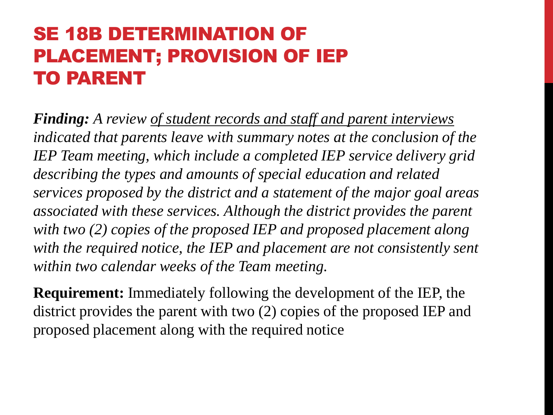### SE 18B DETERMINATION OF PLACEMENT; PROVISION OF IEP TO PARENT

*Finding: A review of student records and staff and parent interviews indicated that parents leave with summary notes at the conclusion of the IEP Team meeting, which include a completed IEP service delivery grid describing the types and amounts of special education and related services proposed by the district and a statement of the major goal areas associated with these services. Although the district provides the parent with two (2) copies of the proposed IEP and proposed placement along*  with the required notice, the IEP and placement are not consistently sent *within two calendar weeks of the Team meeting.*

**Requirement:** Immediately following the development of the IEP, the district provides the parent with two (2) copies of the proposed IEP and proposed placement along with the required notice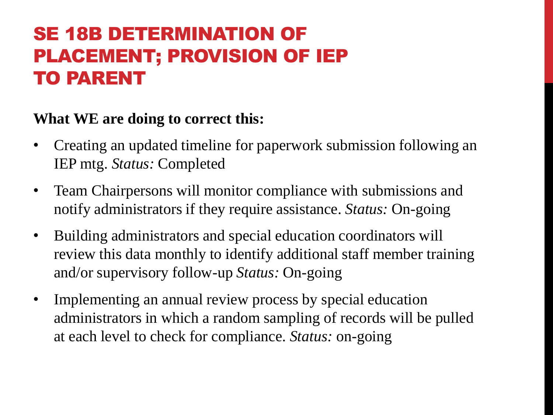### SE 18B DETERMINATION OF PLACEMENT; PROVISION OF IEP TO PARENT

- Creating an updated timeline for paperwork submission following an IEP mtg. *Status:* Completed
- Team Chairpersons will monitor compliance with submissions and notify administrators if they require assistance. *Status:* On-going
- Building administrators and special education coordinators will review this data monthly to identify additional staff member training and/or supervisory follow-up *Status:* On-going
- Implementing an annual review process by special education administrators in which a random sampling of records will be pulled at each level to check for compliance. *Status:* on-going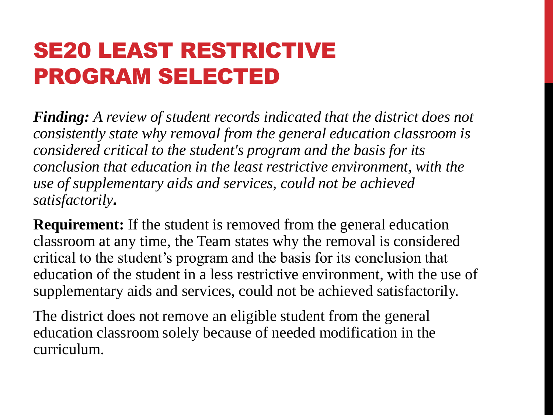### SE20 LEAST RESTRICTIVE PROGRAM SELECTED

*Finding: A review of student records indicated that the district does not consistently state why removal from the general education classroom is considered critical to the student's program and the basis for its conclusion that education in the least restrictive environment, with the use of supplementary aids and services, could not be achieved satisfactorily.*

**Requirement:** If the student is removed from the general education classroom at any time, the Team states why the removal is considered critical to the student's program and the basis for its conclusion that education of the student in a less restrictive environment, with the use of supplementary aids and services, could not be achieved satisfactorily.

The district does not remove an eligible student from the general education classroom solely because of needed modification in the curriculum.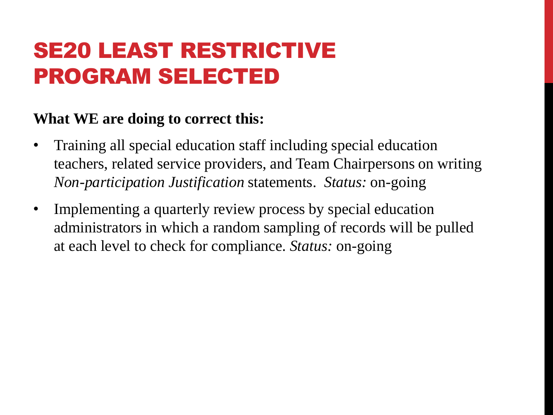### SE20 LEAST RESTRICTIVE PROGRAM SELECTED

- Training all special education staff including special education teachers, related service providers, and Team Chairpersons on writing *Non-participation Justification* statements. *Status:* on-going
- Implementing a quarterly review process by special education administrators in which a random sampling of records will be pulled at each level to check for compliance. *Status:* on-going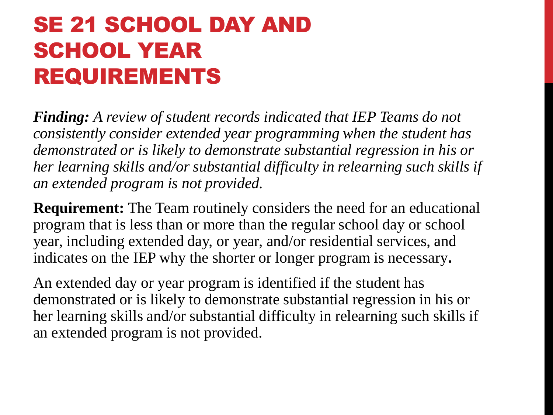### SE 21 SCHOOL DAY AND SCHOOL YEAR REQUIREMENTS

*Finding: A review of student records indicated that IEP Teams do not consistently consider extended year programming when the student has demonstrated or is likely to demonstrate substantial regression in his or her learning skills and/or substantial difficulty in relearning such skills if an extended program is not provided.*

**Requirement:** The Team routinely considers the need for an educational program that is less than or more than the regular school day or school year, including extended day, or year, and/or residential services, and indicates on the IEP why the shorter or longer program is necessary**.**

An extended day or year program is identified if the student has demonstrated or is likely to demonstrate substantial regression in his or her learning skills and/or substantial difficulty in relearning such skills if an extended program is not provided.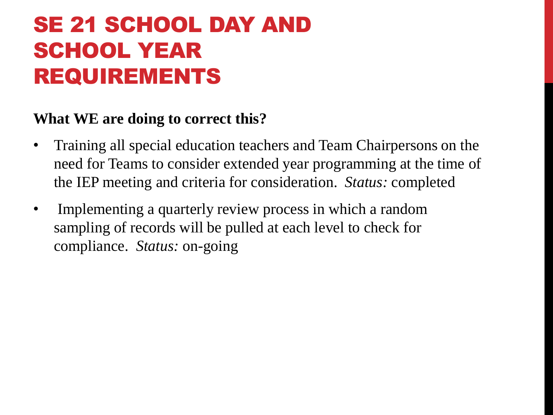### SE 21 SCHOOL DAY AND SCHOOL YEAR REQUIREMENTS

- Training all special education teachers and Team Chairpersons on the need for Teams to consider extended year programming at the time of the IEP meeting and criteria for consideration. *Status:* completed
- Implementing a quarterly review process in which a random sampling of records will be pulled at each level to check for compliance. *Status:* on-going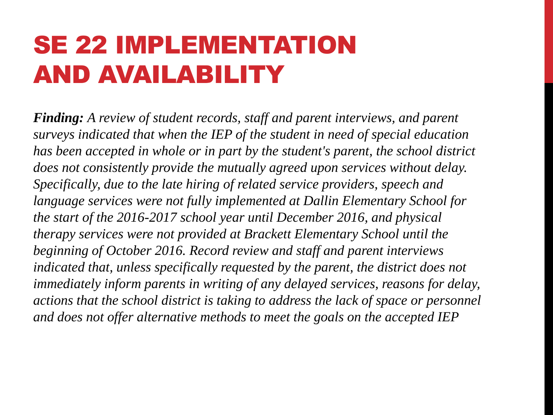### SE 22 IMPLEMENTATION AND AVAILABILITY

*Finding: A review of student records, staff and parent interviews, and parent surveys indicated that when the IEP of the student in need of special education has been accepted in whole or in part by the student's parent, the school district does not consistently provide the mutually agreed upon services without delay. Specifically, due to the late hiring of related service providers, speech and language services were not fully implemented at Dallin Elementary School for the start of the 2016-2017 school year until December 2016, and physical therapy services were not provided at Brackett Elementary School until the beginning of October 2016. Record review and staff and parent interviews indicated that, unless specifically requested by the parent, the district does not immediately inform parents in writing of any delayed services, reasons for delay, actions that the school district is taking to address the lack of space or personnel and does not offer alternative methods to meet the goals on the accepted IEP*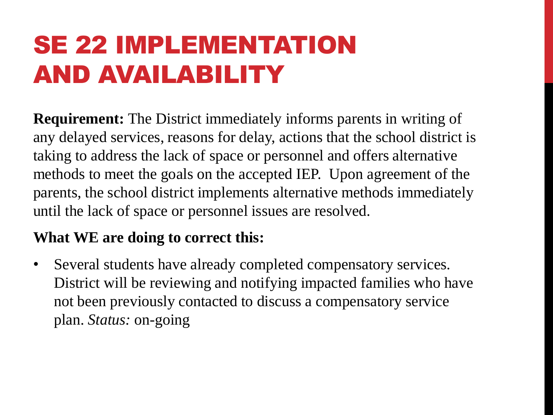## SE 22 IMPLEMENTATION AND AVAILABILITY

**Requirement:** The District immediately informs parents in writing of any delayed services, reasons for delay, actions that the school district is taking to address the lack of space or personnel and offers alternative methods to meet the goals on the accepted IEP. Upon agreement of the parents, the school district implements alternative methods immediately until the lack of space or personnel issues are resolved.

#### **What WE are doing to correct this:**

• Several students have already completed compensatory services. District will be reviewing and notifying impacted families who have not been previously contacted to discuss a compensatory service plan. *Status:* on-going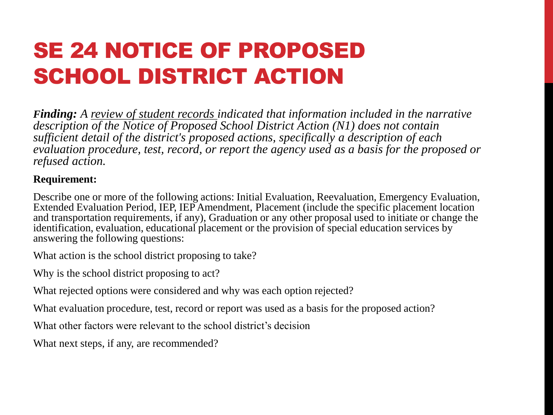### SE 24 NOTICE OF PROPOSED SCHOOL DISTRICT ACTION

*Finding: A review of student records indicated that information included in the narrative description of the Notice of Proposed School District Action (N1) does not contain sufficient detail of the district's proposed actions, specifically a description of each evaluation procedure, test, record, or report the agency used as a basis for the proposed or refused action.* 

#### **Requirement:**

Describe one or more of the following actions: Initial Evaluation, Reevaluation, Emergency Evaluation, Extended Evaluation Period, IEP, IEP Amendment, Placement (include the specific placement location and transportation requirements, if any), Graduation or any other proposal used to initiate or change the identification, evaluation, educational placement or the provision of special education services by answering the following questions:

What action is the school district proposing to take?

Why is the school district proposing to act?

What rejected options were considered and why was each option rejected?

What evaluation procedure, test, record or report was used as a basis for the proposed action?

What other factors were relevant to the school district's decision

What next steps, if any, are recommended?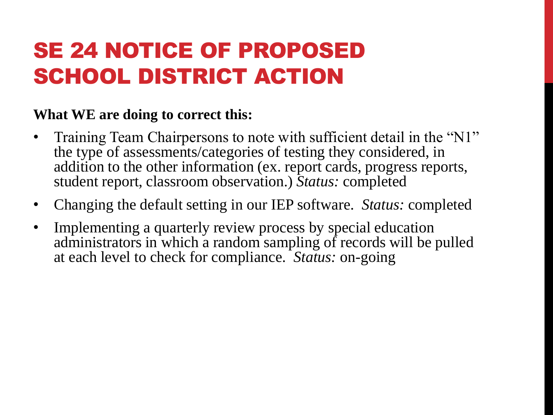### SE 24 NOTICE OF PROPOSED SCHOOL DISTRICT ACTION

- Training Team Chairpersons to note with sufficient detail in the "N1" the type of assessments/categories of testing they considered, in addition to the other information (ex. report cards, progress reports, student report, classroom observation.) *Status:* completed
- Changing the default setting in our IEP software. *Status:* completed
- Implementing a quarterly review process by special education administrators in which a random sampling of records will be pulled at each level to check for compliance. *Status:* on-going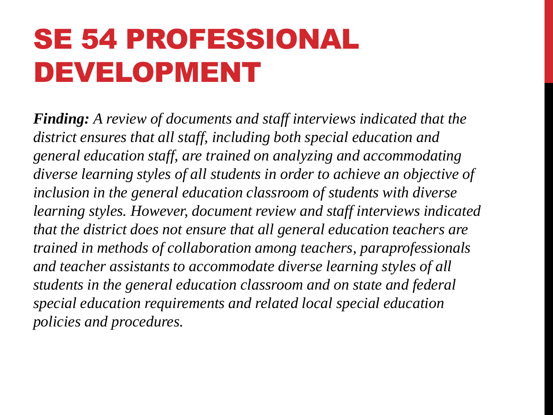# SE 54 PROFESSIONAL DEVELOPMENT

*Finding: A review of documents and staff interviews indicated that the district ensures that all staff, including both special education and general education staff, are trained on analyzing and accommodating diverse learning styles of all students in order to achieve an objective of inclusion in the general education classroom of students with diverse learning styles. However, document review and staff interviews indicated that the district does not ensure that all general education teachers are trained in methods of collaboration among teachers, paraprofessionals and teacher assistants to accommodate diverse learning styles of all students in the general education classroom and on state and federal special education requirements and related local special education policies and procedures.*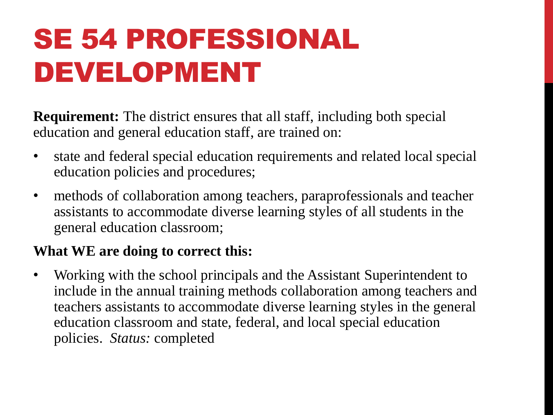# SE 54 PROFESSIONAL DEVELOPMENT

**Requirement:** The district ensures that all staff, including both special education and general education staff, are trained on:

- state and federal special education requirements and related local special education policies and procedures;
- methods of collaboration among teachers, paraprofessionals and teacher assistants to accommodate diverse learning styles of all students in the general education classroom;

#### **What WE are doing to correct this:**

• Working with the school principals and the Assistant Superintendent to include in the annual training methods collaboration among teachers and teachers assistants to accommodate diverse learning styles in the general education classroom and state, federal, and local special education policies. *Status:* completed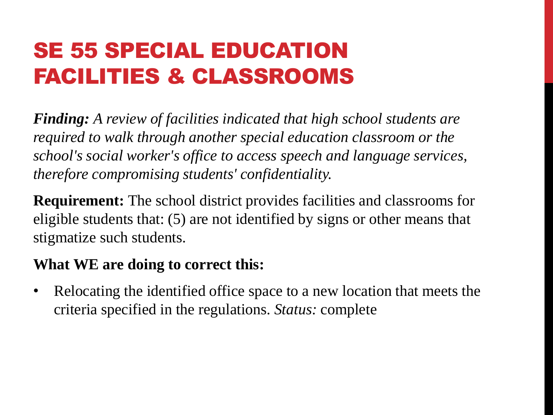### SE 55 SPECIAL EDUCATION FACILITIES & CLASSROOMS

*Finding: A review of facilities indicated that high school students are required to walk through another special education classroom or the school's social worker's office to access speech and language services, therefore compromising students' confidentiality.*

**Requirement:** The school district provides facilities and classrooms for eligible students that: (5) are not identified by signs or other means that stigmatize such students.

#### **What WE are doing to correct this:**

• Relocating the identified office space to a new location that meets the criteria specified in the regulations. *Status:* complete